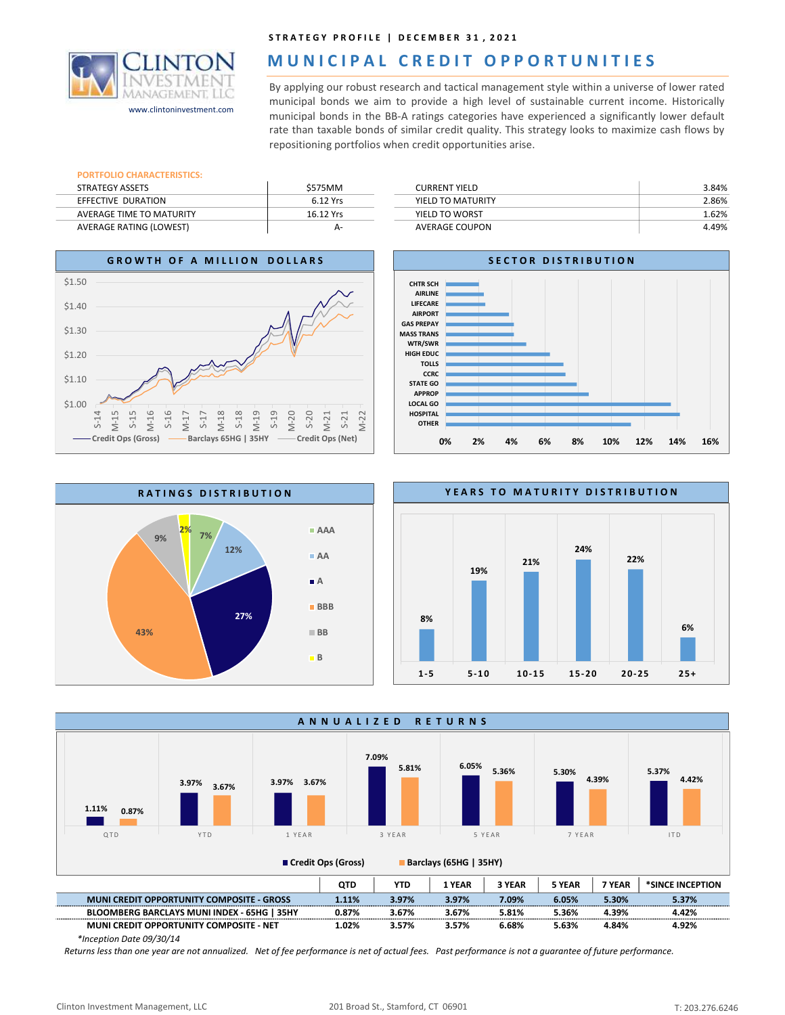

## MUNICIPAL CREDIT OPPORTUNITIES

STRATEGY PROFILE | DECEMBER 31, 2021<br> **MUNICIPAL CREDIT OPPORTUNITIES**<br>
By applying our robust research and tactical management style within a universe of lower rated<br>
municipal bonds we aim to provide a high level of sust STRATEGY PROFILE | DECEMBER 31, 2021<br>
MUNICIPAL CREDIT OPPORTUNITIES<br>
By applying our robust research and tactical management style within a universe of lower rated<br>
municipal bonds we aim to provide a high level of sustai STRATEGY PROFILE | DECEMBER 31, 2021<br>
MUNICIPAL CREDIT OPPORTUNITIES<br>
By applying our robust research and tactical management style within a universe of lower rated<br>
municipal bonds we aim to provide a high level of sustai **STRATEGY PROFILE | DECEMBER 31, 2021**<br> **MUNICIPAL CREDIT OPPORTUNITIES**<br>
By applying our robust research and tactical management style within a universe of lower rated<br>
municipal bonds we aim to provide a high level of su **STRATEGY PROFILE | DECEMBER 31, 2021**<br> **MUNICIPAL CREDIT OPPORTUNITIES**<br>
By applying our robust research and tactical management style within a universe of lower rated<br>
municipal bonds we aim to provide a high level of su STRATEGY PROFILE | DECEMBER 31, 2021<br> **MUNICIPAL CREDIT OPPORTUNITIES**<br>
By applying our robust research and tactical management style within a universe of lower rated<br>
municipal bonds we aim to provide a high level of sust www.clintoninvestment.com municipal bonds we aim to provide a high level of sustainable current income. Historically<br>municipal bonds in the BB-A ratings categories have experienced a significantly lower default

## PORTFOLIO CHARACTERISTICS:

| STRATEGY ASSETS                | \$575MM   |
|--------------------------------|-----------|
| EFFECTIVE DURATION             | 6.12 Yrs  |
| AVERAGE TIME TO MATURITY       | 16.12 Yrs |
| <b>AVERAGE RATING (LOWEST)</b> | А-        |

| <b>CURRENT YIELD</b> | 3.84% |
|----------------------|-------|
| YIELD TO MATURITY    | 2.86% |
| YIELD TO WORST       | 1.62% |
| AVERAGE COUPON       | 4.49% |









\*Inception Date 09/30/14

Returns less than one year are not annualized. Net of fee performance is net of actual fees. Past performance is not a guarantee of future performance.

24%

22%

6%